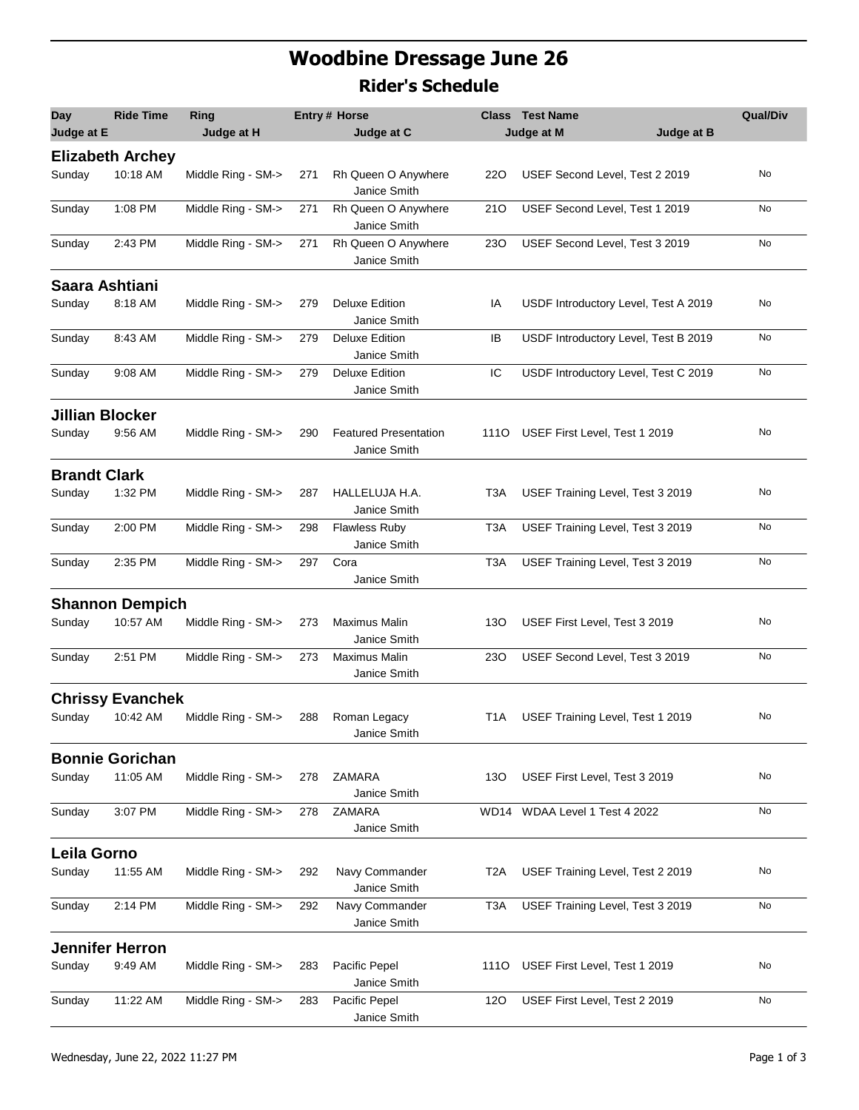## **Woodbine Dressage June 26 Rider's Schedule**

| Day                    | <b>Ride Time</b>        | Ring               |     | Entry # Horse                                |                  | <b>Class Test Name</b>               | <b>Qual/Div</b> |
|------------------------|-------------------------|--------------------|-----|----------------------------------------------|------------------|--------------------------------------|-----------------|
| Judge at E             |                         | Judge at H         |     | Judge at C                                   |                  | Judge at M<br>Judge at B             |                 |
|                        | <b>Elizabeth Archey</b> |                    |     |                                              |                  |                                      |                 |
| Sunday                 | 10:18 AM                | Middle Ring - SM-> | 271 | Rh Queen O Anywhere<br>Janice Smith          | 220              | USEF Second Level, Test 2 2019       | No              |
| Sunday                 | 1:08 PM                 | Middle Ring - SM-> | 271 | Rh Queen O Anywhere<br>Janice Smith          | 210              | USEF Second Level, Test 1 2019       | No              |
| Sunday                 | 2:43 PM                 | Middle Ring - SM-> | 271 | Rh Queen O Anywhere<br>Janice Smith          | <b>230</b>       | USEF Second Level, Test 3 2019       | No              |
| Saara Ashtiani         |                         |                    |     |                                              |                  |                                      |                 |
| Sunday                 | 8:18 AM                 | Middle Ring - SM-> | 279 | <b>Deluxe Edition</b><br>Janice Smith        | IA               | USDF Introductory Level, Test A 2019 | No              |
| Sunday                 | 8:43 AM                 | Middle Ring - SM-> | 279 | <b>Deluxe Edition</b><br>Janice Smith        | IB               | USDF Introductory Level, Test B 2019 | No              |
| Sunday                 | 9:08 AM                 | Middle Ring - SM-> | 279 | <b>Deluxe Edition</b><br>Janice Smith        | IC               | USDF Introductory Level, Test C 2019 | No              |
| <b>Jillian Blocker</b> |                         |                    |     |                                              |                  |                                      |                 |
| Sunday                 | 9:56 AM                 | Middle Ring - SM-> | 290 | <b>Featured Presentation</b><br>Janice Smith |                  | 1110 USEF First Level, Test 1 2019   | No              |
| <b>Brandt Clark</b>    |                         |                    |     |                                              |                  |                                      |                 |
| Sunday                 | 1:32 PM                 | Middle Ring - SM-> | 287 | HALLELUJA H.A.<br>Janice Smith               | T3A              | USEF Training Level, Test 3 2019     | No              |
| Sunday                 | 2:00 PM                 | Middle Ring - SM-> | 298 | <b>Flawless Ruby</b><br>Janice Smith         | T <sub>3</sub> A | USEF Training Level, Test 3 2019     | No              |
| Sunday                 | 2:35 PM                 | Middle Ring - SM-> | 297 | Cora<br>Janice Smith                         | T <sub>3</sub> A | USEF Training Level, Test 3 2019     | No              |
|                        | <b>Shannon Dempich</b>  |                    |     |                                              |                  |                                      |                 |
| Sunday                 | 10:57 AM                | Middle Ring - SM-> | 273 | Maximus Malin<br>Janice Smith                | 130              | USEF First Level, Test 3 2019        | No              |
| Sunday                 | 2:51 PM                 | Middle Ring - SM-> | 273 | Maximus Malin<br>Janice Smith                | <b>230</b>       | USEF Second Level, Test 3 2019       | No              |
|                        | <b>Chrissy Evanchek</b> |                    |     |                                              |                  |                                      |                 |
| Sunday                 | 10:42 AM                | Middle Ring - SM-> | 288 | Roman Legacy<br>Janice Smith                 | T <sub>1</sub> A | USEF Training Level, Test 1 2019     | No              |
|                        | <b>Bonnie Gorichan</b>  |                    |     |                                              |                  |                                      |                 |
| Sunday                 | 11:05 AM                | Middle Ring - SM-> | 278 | ZAMARA<br>Janice Smith                       | 130              | USEF First Level, Test 3 2019        | No              |
| Sunday                 | 3:07 PM                 | Middle Ring - SM-> | 278 | <b>ZAMARA</b><br>Janice Smith                | WD14             | WDAA Level 1 Test 4 2022             | No              |
| Leila Gorno            |                         |                    |     |                                              |                  |                                      |                 |
| Sunday                 | 11:55 AM                | Middle Ring - SM-> | 292 | Navy Commander<br>Janice Smith               | T2A              | USEF Training Level, Test 2 2019     | No              |
| Sunday                 | 2:14 PM                 | Middle Ring - SM-> | 292 | Navy Commander<br>Janice Smith               | T3A              | USEF Training Level, Test 3 2019     | No              |
|                        | <b>Jennifer Herron</b>  |                    |     |                                              |                  |                                      |                 |
| Sunday                 | 9:49 AM                 | Middle Ring - SM-> | 283 | Pacific Pepel<br>Janice Smith                | 1110             | USEF First Level, Test 1 2019        | No              |
| Sunday                 | 11:22 AM                | Middle Ring - SM-> | 283 | Pacific Pepel<br>Janice Smith                | 120              | USEF First Level, Test 2 2019        | No              |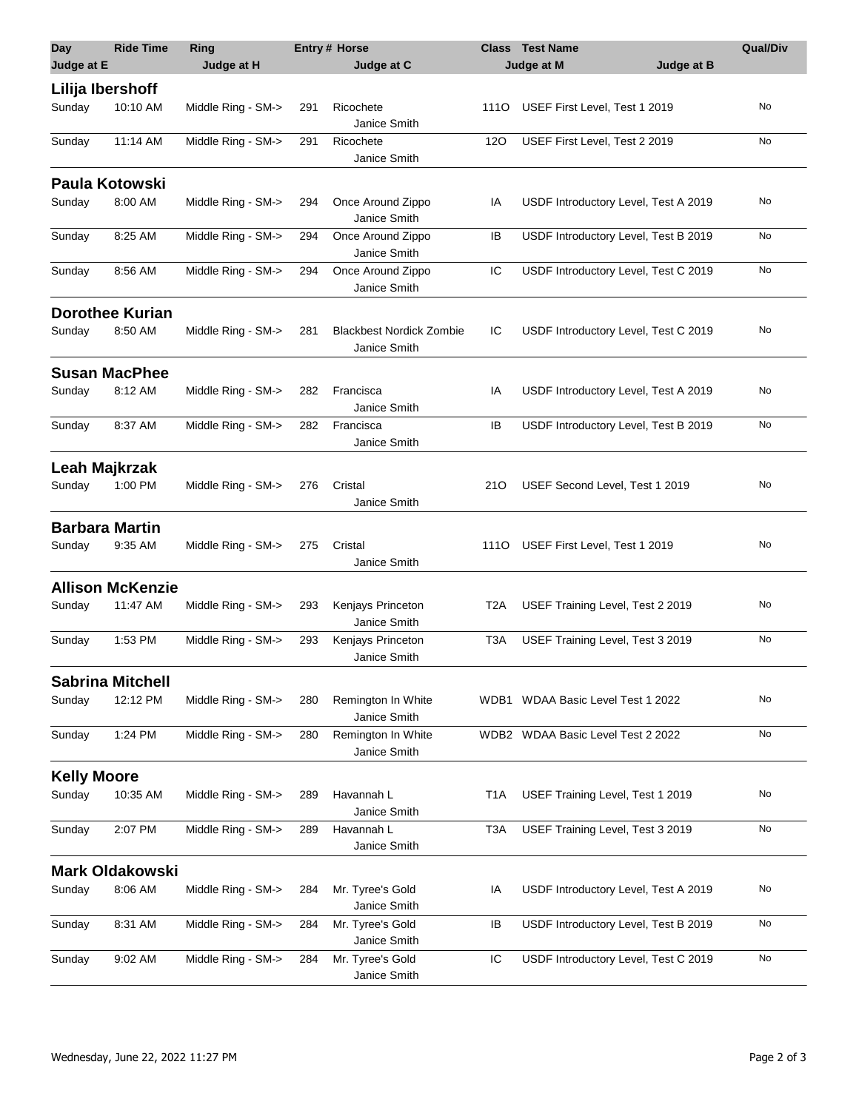| <b>Day</b>         | <b>Ride Time</b>        | Ring               |     | <b>Entry # Horse</b>                            |                  | <b>Class</b> Test Name               | <b>Qual/Div</b> |
|--------------------|-------------------------|--------------------|-----|-------------------------------------------------|------------------|--------------------------------------|-----------------|
| Judge at E         |                         | Judge at H         |     | Judge at C                                      |                  | Judge at M<br>Judge at B             |                 |
|                    | Lilija Ibershoff        |                    |     |                                                 |                  |                                      |                 |
| Sunday             | 10:10 AM                | Middle Ring - SM-> | 291 | Ricochete<br>Janice Smith                       | 1110             | USEF First Level, Test 1 2019        | No              |
| Sunday             | 11:14 AM                | Middle Ring - SM-> | 291 | Ricochete<br>Janice Smith                       | 120              | USEF First Level, Test 2 2019        | No              |
|                    | <b>Paula Kotowski</b>   |                    |     |                                                 |                  |                                      |                 |
| Sunday             | 8:00 AM                 | Middle Ring - SM-> | 294 | Once Around Zippo<br>Janice Smith               | IA               | USDF Introductory Level, Test A 2019 | No              |
| Sunday             | 8:25 AM                 | Middle Ring - SM-> | 294 | Once Around Zippo<br>Janice Smith               | IB               | USDF Introductory Level, Test B 2019 | No              |
| Sunday             | 8:56 AM                 | Middle Ring - SM-> | 294 | Once Around Zippo<br>Janice Smith               | IC               | USDF Introductory Level, Test C 2019 | No              |
|                    | <b>Dorothee Kurian</b>  |                    |     |                                                 |                  |                                      |                 |
| Sunday             | 8:50 AM                 | Middle Ring - SM-> | 281 | <b>Blackbest Nordick Zombie</b><br>Janice Smith | IC               | USDF Introductory Level, Test C 2019 | No              |
|                    | <b>Susan MacPhee</b>    |                    |     |                                                 |                  |                                      |                 |
| Sunday             | 8:12 AM                 | Middle Ring - SM-> | 282 | Francisca<br>Janice Smith                       | IA               | USDF Introductory Level, Test A 2019 | No              |
| Sunday             | 8:37 AM                 | Middle Ring - SM-> | 282 | Francisca<br>Janice Smith                       | IB               | USDF Introductory Level, Test B 2019 | No              |
|                    | Leah Majkrzak           |                    |     |                                                 |                  |                                      |                 |
| Sunday             | 1:00 PM                 | Middle Ring - SM-> | 276 | Cristal<br>Janice Smith                         | 210              | USEF Second Level, Test 1 2019       | No              |
|                    | <b>Barbara Martin</b>   |                    |     |                                                 |                  |                                      |                 |
| Sunday             | 9:35 AM                 | Middle Ring - SM-> | 275 | Cristal<br>Janice Smith                         | 1110             | USEF First Level, Test 1 2019        | No              |
|                    | <b>Allison McKenzie</b> |                    |     |                                                 |                  |                                      |                 |
| Sunday             | 11:47 AM                | Middle Ring - SM-> | 293 | Kenjays Princeton<br>Janice Smith               | T <sub>2</sub> A | USEF Training Level, Test 2 2019     | No              |
| Sunday             | 1:53 PM                 | Middle Ring - SM-> | 293 | Kenjays Princeton<br>Janice Smith               | T <sub>3</sub> A | USEF Training Level, Test 3 2019     | No              |
|                    | <b>Sabrina Mitchell</b> |                    |     |                                                 |                  |                                      |                 |
| Sunday             | 12:12 PM                | Middle Ring - SM-> | 280 | Remington In White<br>Janice Smith              |                  | WDB1 WDAA Basic Level Test 1 2022    | No              |
| Sunday             | 1:24 PM                 | Middle Ring - SM-> | 280 | Remington In White<br>Janice Smith              | WDB2             | WDAA Basic Level Test 2 2022         | No              |
| <b>Kelly Moore</b> |                         |                    |     |                                                 |                  |                                      |                 |
| Sunday             | 10:35 AM                | Middle Ring - SM-> | 289 | Havannah L<br>Janice Smith                      | T <sub>1</sub> A | USEF Training Level, Test 1 2019     | No              |
| Sunday             | 2:07 PM                 | Middle Ring - SM-> | 289 | Havannah L<br>Janice Smith                      | T <sub>3</sub> A | USEF Training Level, Test 3 2019     | No              |
|                    | <b>Mark Oldakowski</b>  |                    |     |                                                 |                  |                                      |                 |
| Sunday             | 8:06 AM                 | Middle Ring - SM-> | 284 | Mr. Tyree's Gold<br>Janice Smith                | IA               | USDF Introductory Level, Test A 2019 | No              |
| Sunday             | 8:31 AM                 | Middle Ring - SM-> | 284 | Mr. Tyree's Gold<br>Janice Smith                | IB               | USDF Introductory Level, Test B 2019 | No              |
| Sunday             | 9:02 AM                 | Middle Ring - SM-> | 284 | Mr. Tyree's Gold<br>Janice Smith                | IС               | USDF Introductory Level, Test C 2019 | No              |